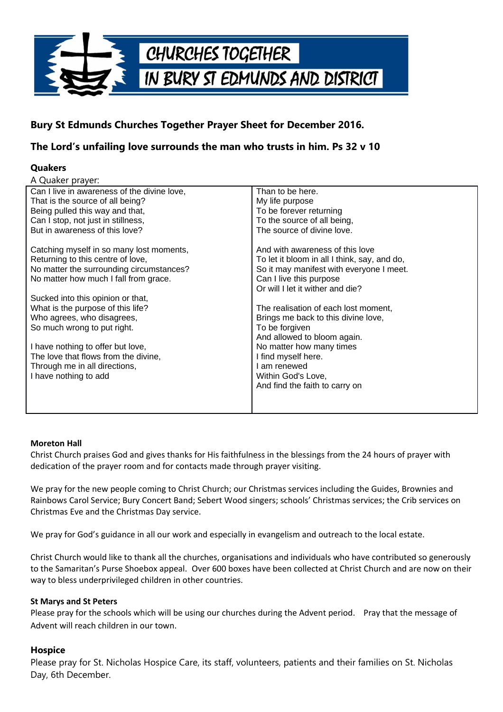

# **Bury St Edmunds Churches Together Prayer Sheet for December 2016.**

## **The Lord's unfailing love surrounds the man who trusts in him. Ps 32 v 10**

### **Quakers**

| Than to be here.                                                                                                                                                                           |
|--------------------------------------------------------------------------------------------------------------------------------------------------------------------------------------------|
| My life purpose                                                                                                                                                                            |
| To be forever returning                                                                                                                                                                    |
| To the source of all being,                                                                                                                                                                |
| The source of divine love.                                                                                                                                                                 |
| And with awareness of this love<br>To let it bloom in all I think, say, and do,<br>So it may manifest with everyone I meet.<br>Can I live this purpose<br>Or will I let it wither and die? |
|                                                                                                                                                                                            |
| The realisation of each lost moment,                                                                                                                                                       |
| Brings me back to this divine love,                                                                                                                                                        |
| To be forgiven                                                                                                                                                                             |
| And allowed to bloom again.<br>No matter how many times<br>I find myself here.<br>I am renewed<br>Within God's Love,<br>And find the faith to carry on                                     |
|                                                                                                                                                                                            |

#### **Moreton Hall**

Christ Church praises God and gives thanks for His faithfulness in the blessings from the 24 hours of prayer with dedication of the prayer room and for contacts made through prayer visiting.

We pray for the new people coming to Christ Church; our Christmas services including the Guides, Brownies and Rainbows Carol Service; Bury Concert Band; Sebert Wood singers; schools' Christmas services; the Crib services on Christmas Eve and the Christmas Day service.

We pray for God's guidance in all our work and especially in evangelism and outreach to the local estate.

Christ Church would like to thank all the churches, organisations and individuals who have contributed so generously to the Samaritan's Purse Shoebox appeal. Over 600 boxes have been collected at Christ Church and are now on their way to bless underprivileged children in other countries.

#### **St Marys and St Peters**

Please pray for the schools which will be using our churches during the Advent period. Pray that the message of Advent will reach children in our town.

#### **Hospice**

Please pray for St. Nicholas Hospice Care, its staff, volunteers, patients and their families on St. Nicholas Day, 6th December.